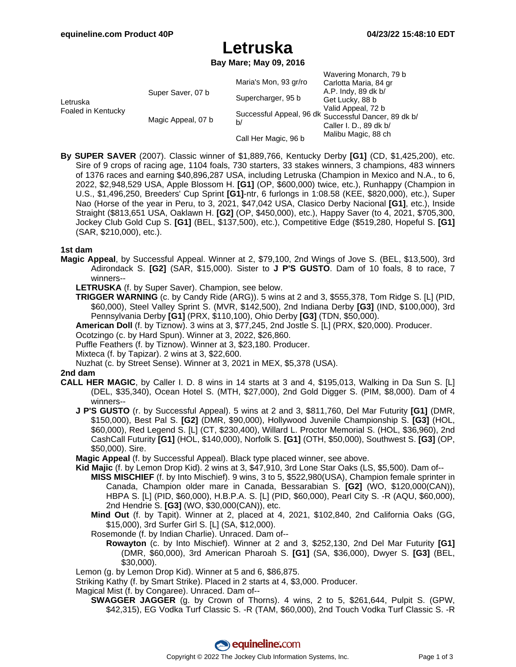Wavering Monarch, 70 b

# **Letruska**

**Bay Mare; May 09, 2016**

|                                |                    |                                                            | waveling monarch, 19 b |
|--------------------------------|--------------------|------------------------------------------------------------|------------------------|
| Letruska<br>Foaled in Kentucky | Super Saver, 07 b  | Maria's Mon, 93 gr/ro                                      | Carlotta Maria, 84 gr  |
|                                |                    | Supercharger, 95 b                                         | A.P. Indy, 89 dk b/    |
|                                |                    |                                                            | Get Lucky, 88 b        |
|                                | Magic Appeal, 07 b | Successful Appeal, 96 dk Successful Dancer, 89 dk b/<br>b/ | Valid Appeal, 72 b     |
|                                |                    |                                                            |                        |
|                                |                    |                                                            | Caller I. D., 89 dk b/ |
|                                |                    | Call Her Magic, 96 b                                       | Malibu Magic, 88 ch    |

**By SUPER SAVER** (2007). Classic winner of \$1,889,766, Kentucky Derby **[G1]** (CD, \$1,425,200), etc. Sire of 9 crops of racing age, 1104 foals, 730 starters, 33 stakes winners, 3 champions, 483 winners of 1376 races and earning \$40,896,287 USA, including Letruska (Champion in Mexico and N.A., to 6, 2022, \$2,948,529 USA, Apple Blossom H. **[G1]** (OP, \$600,000) twice, etc.), Runhappy (Champion in U.S., \$1,496,250, Breeders' Cup Sprint **[G1]**-ntr, 6 furlongs in 1:08.58 (KEE, \$820,000), etc.), Super Nao (Horse of the year in Peru, to 3, 2021, \$47,042 USA, Clasico Derby Nacional **[G1]**, etc.), Inside Straight (\$813,651 USA, Oaklawn H. **[G2]** (OP, \$450,000), etc.), Happy Saver (to 4, 2021, \$705,300, Jockey Club Gold Cup S. **[G1]** (BEL, \$137,500), etc.), Competitive Edge (\$519,280, Hopeful S. **[G1]** (SAR, \$210,000), etc.).

#### **1st dam**

**Magic Appeal**, by Successful Appeal. Winner at 2, \$79,100, 2nd Wings of Jove S. (BEL, \$13,500), 3rd Adirondack S. **[G2]** (SAR, \$15,000). Sister to **J P'S GUSTO**. Dam of 10 foals, 8 to race, 7 winners--

**LETRUSKA** (f. by Super Saver). Champion, see below.

**TRIGGER WARNING** (c. by Candy Ride (ARG)). 5 wins at 2 and 3, \$555,378, Tom Ridge S. [L] (PID, \$60,000), Steel Valley Sprint S. (MVR, \$142,500), 2nd Indiana Derby **[G3]** (IND, \$100,000), 3rd Pennsylvania Derby **[G1]** (PRX, \$110,100), Ohio Derby **[G3]** (TDN, \$50,000).

**American Doll** (f. by Tiznow). 3 wins at 3, \$77,245, 2nd Jostle S. [L] (PRX, \$20,000). Producer.

Ocotzingo (c. by Hard Spun). Winner at 3, 2022, \$26,860.

Puffle Feathers (f. by Tiznow). Winner at 3, \$23,180. Producer.

Mixteca (f. by Tapizar). 2 wins at 3, \$22,600.

Nuzhat (c. by Street Sense). Winner at 3, 2021 in MEX, \$5,378 (USA).

#### **2nd dam**

- **CALL HER MAGIC**, by Caller I. D. 8 wins in 14 starts at 3 and 4, \$195,013, Walking in Da Sun S. [L] (DEL, \$35,340), Ocean Hotel S. (MTH, \$27,000), 2nd Gold Digger S. (PIM, \$8,000). Dam of 4 winners--
	- **J P'S GUSTO** (r. by Successful Appeal). 5 wins at 2 and 3, \$811,760, Del Mar Futurity **[G1]** (DMR, \$150,000), Best Pal S. **[G2]** (DMR, \$90,000), Hollywood Juvenile Championship S. **[G3]** (HOL, \$60,000), Red Legend S. [L] (CT, \$230,400), Willard L. Proctor Memorial S. (HOL, \$36,960), 2nd CashCall Futurity **[G1]** (HOL, \$140,000), Norfolk S. **[G1]** (OTH, \$50,000), Southwest S. **[G3]** (OP, \$50,000). Sire.

**Magic Appeal** (f. by Successful Appeal). Black type placed winner, see above.

- **Kid Majic** (f. by Lemon Drop Kid). 2 wins at 3, \$47,910, 3rd Lone Star Oaks (LS, \$5,500). Dam of-- **MISS MISCHIEF** (f. by Into Mischief). 9 wins, 3 to 5, \$522,980(USA), Champion female sprinter in Canada, Champion older mare in Canada, Bessarabian S. **[G2]** (WO, \$120,000(CAN)), HBPA S. [L] (PID, \$60,000), H.B.P.A. S. [L] (PID, \$60,000), Pearl City S. -R (AQU, \$60,000), 2nd Hendrie S. **[G3]** (WO, \$30,000(CAN)), etc.
	- **Mind Out** (f. by Tapit). Winner at 2, placed at 4, 2021, \$102,840, 2nd California Oaks (GG, \$15,000), 3rd Surfer Girl S. [L] (SA, \$12,000).
	- Rosemonde (f. by Indian Charlie). Unraced. Dam of--
		- **Rowayton** (c. by Into Mischief). Winner at 2 and 3, \$252,130, 2nd Del Mar Futurity **[G1]** (DMR, \$60,000), 3rd American Pharoah S. **[G1]** (SA, \$36,000), Dwyer S. **[G3]** (BEL, \$30,000).

Lemon (g. by Lemon Drop Kid). Winner at 5 and 6, \$86,875.

Striking Kathy (f. by Smart Strike). Placed in 2 starts at 4, \$3,000. Producer.

Magical Mist (f. by Congaree). Unraced. Dam of--

**SWAGGER JAGGER** (g. by Crown of Thorns). 4 wins, 2 to 5, \$261,644, Pulpit S. (GPW, \$42,315), EG Vodka Turf Classic S. -R (TAM, \$60,000), 2nd Touch Vodka Turf Classic S. -R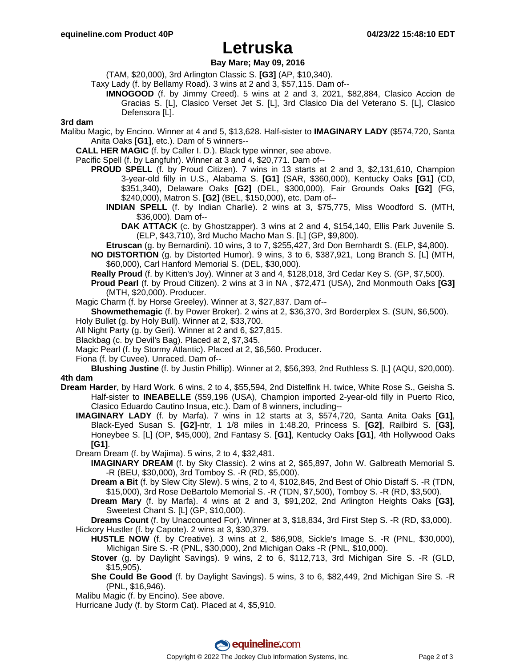## **Letruska**

### **Bay Mare; May 09, 2016**

(TAM, \$20,000), 3rd Arlington Classic S. **[G3]** (AP, \$10,340).

- Taxy Lady (f. by Bellamy Road). 3 wins at 2 and 3, \$57,115. Dam of--
	- **IMNOGOOD** (f. by Jimmy Creed). 5 wins at 2 and 3, 2021, \$82,884, Clasico Accion de Gracias S. [L], Clasico Verset Jet S. [L], 3rd Clasico Dia del Veterano S. [L], Clasico Defensora [L].

#### **3rd dam**

- Malibu Magic, by Encino. Winner at 4 and 5, \$13,628. Half-sister to **IMAGINARY LADY** (\$574,720, Santa Anita Oaks **[G1]**, etc.). Dam of 5 winners--
	- **CALL HER MAGIC** (f. by Caller I. D.). Black type winner, see above.
	- Pacific Spell (f. by Langfuhr). Winner at 3 and 4, \$20,771. Dam of--
		- **PROUD SPELL** (f. by Proud Citizen). 7 wins in 13 starts at 2 and 3, \$2,131,610, Champion 3-year-old filly in U.S., Alabama S. **[G1]** (SAR, \$360,000), Kentucky Oaks **[G1]** (CD, \$351,340), Delaware Oaks **[G2]** (DEL, \$300,000), Fair Grounds Oaks **[G2]** (FG, \$240,000), Matron S. **[G2]** (BEL, \$150,000), etc. Dam of--
			- **INDIAN SPELL** (f. by Indian Charlie). 2 wins at 3, \$75,775, Miss Woodford S. (MTH, \$36,000). Dam of--
				- **DAK ATTACK** (c. by Ghostzapper). 3 wins at 2 and 4, \$154,140, Ellis Park Juvenile S. (ELP, \$43,710), 3rd Mucho Macho Man S. [L] (GP, \$9,800).
			- **Etruscan** (g. by Bernardini). 10 wins, 3 to 7, \$255,427, 3rd Don Bernhardt S. (ELP, \$4,800).
		- **NO DISTORTION** (g. by Distorted Humor). 9 wins, 3 to 6, \$387,921, Long Branch S. [L] (MTH, \$60,000), Carl Hanford Memorial S. (DEL, \$30,000).
		- **Really Proud** (f. by Kitten's Joy). Winner at 3 and 4, \$128,018, 3rd Cedar Key S. (GP, \$7,500).
		- **Proud Pearl** (f. by Proud Citizen). 2 wins at 3 in NA , \$72,471 (USA), 2nd Monmouth Oaks **[G3]** (MTH, \$20,000). Producer.
	- Magic Charm (f. by Horse Greeley). Winner at 3, \$27,837. Dam of--
	- **Showmethemagic** (f. by Power Broker). 2 wins at 2, \$36,370, 3rd Borderplex S. (SUN, \$6,500). Holy Bullet (g. by Holy Bull). Winner at 2, \$33,700.
	- All Night Party (g. by Geri). Winner at 2 and 6, \$27,815.
	- Blackbag (c. by Devil's Bag). Placed at 2, \$7,345.
	- Magic Pearl (f. by Stormy Atlantic). Placed at 2, \$6,560. Producer.
	- Fiona (f. by Cuvee). Unraced. Dam of--

**Blushing Justine** (f. by Justin Phillip). Winner at 2, \$56,393, 2nd Ruthless S. [L] (AQU, \$20,000). **4th dam**

- **Dream Harder**, by Hard Work. 6 wins, 2 to 4, \$55,594, 2nd Distelfink H. twice, White Rose S., Geisha S. Half-sister to **INEABELLE** (\$59,196 (USA), Champion imported 2-year-old filly in Puerto Rico, Clasico Eduardo Cautino Insua, etc.). Dam of 8 winners, including--
	- **IMAGINARY LADY** (f. by Marfa). 7 wins in 12 starts at 3, \$574,720, Santa Anita Oaks **[G1]**, Black-Eyed Susan S. **[G2]**-ntr, 1 1/8 miles in 1:48.20, Princess S. **[G2]**, Railbird S. **[G3]**, Honeybee S. [L] (OP, \$45,000), 2nd Fantasy S. **[G1]**, Kentucky Oaks **[G1]**, 4th Hollywood Oaks **[G1]**.
	- Dream Dream (f. by Wajima). 5 wins, 2 to 4, \$32,481.
		- **IMAGINARY DREAM** (f. by Sky Classic). 2 wins at 2, \$65,897, John W. Galbreath Memorial S. -R (BEU, \$30,000), 3rd Tomboy S. -R (RD, \$5,000).
		- **Dream a Bit** (f. by Slew City Slew). 5 wins, 2 to 4, \$102,845, 2nd Best of Ohio Distaff S. -R (TDN, \$15,000), 3rd Rose DeBartolo Memorial S. -R (TDN, \$7,500), Tomboy S. -R (RD, \$3,500).
		- **Dream Mary** (f. by Marfa). 4 wins at 2 and 3, \$91,202, 2nd Arlington Heights Oaks **[G3]**, Sweetest Chant S. [L] (GP, \$10,000).

**Dreams Count** (f. by Unaccounted For). Winner at 3, \$18,834, 3rd First Step S. -R (RD, \$3,000). Hickory Hustler (f. by Capote). 2 wins at 3, \$30,379.

- **HUSTLE NOW** (f. by Creative). 3 wins at 2, \$86,908, Sickle's Image S. -R (PNL, \$30,000), Michigan Sire S. -R (PNL, \$30,000), 2nd Michigan Oaks -R (PNL, \$10,000).
- **Stover** (g. by Daylight Savings). 9 wins, 2 to 6, \$112,713, 3rd Michigan Sire S. -R (GLD, \$15,905).
- **She Could Be Good** (f. by Daylight Savings). 5 wins, 3 to 6, \$82,449, 2nd Michigan Sire S. -R (PNL, \$16,946).
- Malibu Magic (f. by Encino). See above.
- Hurricane Judy (f. by Storm Cat). Placed at 4, \$5,910.